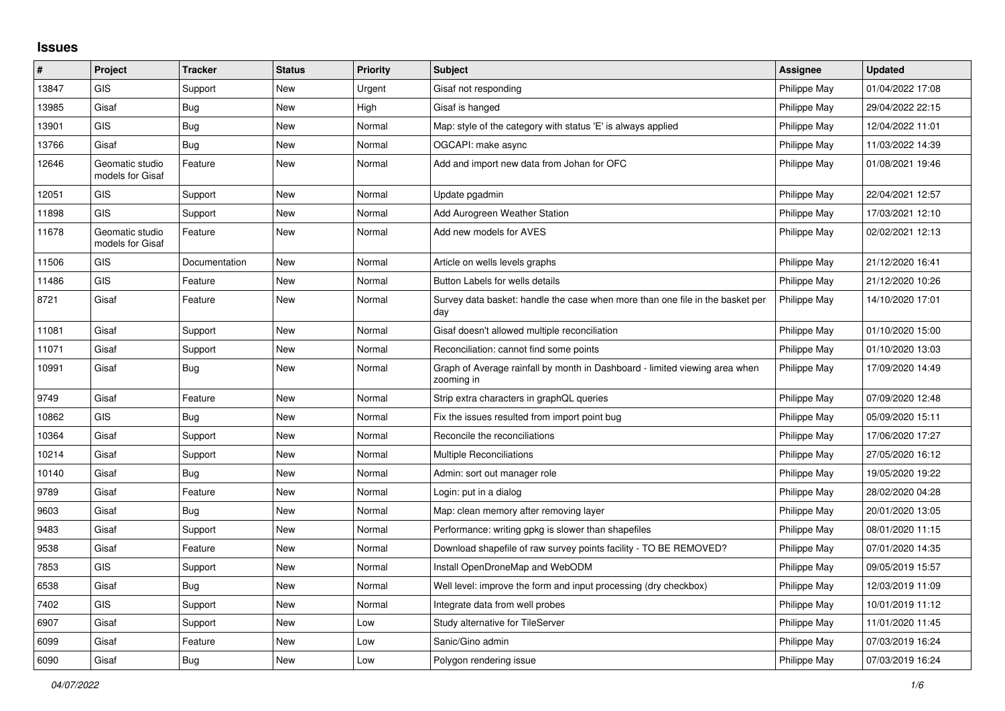## **Issues**

| #     | Project                             | <b>Tracker</b> | <b>Status</b> | <b>Priority</b> | <b>Subject</b>                                                                            | <b>Assignee</b> | <b>Updated</b>   |
|-------|-------------------------------------|----------------|---------------|-----------------|-------------------------------------------------------------------------------------------|-----------------|------------------|
| 13847 | <b>GIS</b>                          | Support        | New           | Urgent          | Gisaf not responding                                                                      | Philippe May    | 01/04/2022 17:08 |
| 13985 | Gisaf                               | <b>Bug</b>     | New           | High            | Gisaf is hanged                                                                           | Philippe May    | 29/04/2022 22:15 |
| 13901 | <b>GIS</b>                          | Bug            | New           | Normal          | Map: style of the category with status 'E' is always applied                              | Philippe May    | 12/04/2022 11:01 |
| 13766 | Gisaf                               | Bug            | New           | Normal          | OGCAPI: make async                                                                        | Philippe May    | 11/03/2022 14:39 |
| 12646 | Geomatic studio<br>models for Gisaf | Feature        | New           | Normal          | Add and import new data from Johan for OFC                                                | Philippe May    | 01/08/2021 19:46 |
| 12051 | <b>GIS</b>                          | Support        | <b>New</b>    | Normal          | Update pgadmin                                                                            | Philippe May    | 22/04/2021 12:57 |
| 11898 | <b>GIS</b>                          | Support        | New           | Normal          | Add Aurogreen Weather Station                                                             | Philippe May    | 17/03/2021 12:10 |
| 11678 | Geomatic studio<br>models for Gisaf | Feature        | New           | Normal          | Add new models for AVES                                                                   | Philippe May    | 02/02/2021 12:13 |
| 11506 | <b>GIS</b>                          | Documentation  | <b>New</b>    | Normal          | Article on wells levels graphs                                                            | Philippe May    | 21/12/2020 16:41 |
| 11486 | <b>GIS</b>                          | Feature        | New           | Normal          | Button Labels for wells details                                                           | Philippe May    | 21/12/2020 10:26 |
| 8721  | Gisaf                               | Feature        | <b>New</b>    | Normal          | Survey data basket: handle the case when more than one file in the basket per<br>day      | Philippe May    | 14/10/2020 17:01 |
| 11081 | Gisaf                               | Support        | New           | Normal          | Gisaf doesn't allowed multiple reconciliation                                             | Philippe May    | 01/10/2020 15:00 |
| 11071 | Gisaf                               | Support        | New           | Normal          | Reconciliation: cannot find some points                                                   | Philippe May    | 01/10/2020 13:03 |
| 10991 | Gisaf                               | <b>Bug</b>     | New           | Normal          | Graph of Average rainfall by month in Dashboard - limited viewing area when<br>zooming in | Philippe May    | 17/09/2020 14:49 |
| 9749  | Gisaf                               | Feature        | New           | Normal          | Strip extra characters in graphQL queries                                                 | Philippe May    | 07/09/2020 12:48 |
| 10862 | <b>GIS</b>                          | Bug            | New           | Normal          | Fix the issues resulted from import point bug                                             | Philippe May    | 05/09/2020 15:11 |
| 10364 | Gisaf                               | Support        | New           | Normal          | Reconcile the reconciliations                                                             | Philippe May    | 17/06/2020 17:27 |
| 10214 | Gisaf                               | Support        | New           | Normal          | <b>Multiple Reconciliations</b>                                                           | Philippe May    | 27/05/2020 16:12 |
| 10140 | Gisaf                               | <b>Bug</b>     | New           | Normal          | Admin: sort out manager role                                                              | Philippe May    | 19/05/2020 19:22 |
| 9789  | Gisaf                               | Feature        | New           | Normal          | Login: put in a dialog                                                                    | Philippe May    | 28/02/2020 04:28 |
| 9603  | Gisaf                               | Bug            | New           | Normal          | Map: clean memory after removing layer                                                    | Philippe May    | 20/01/2020 13:05 |
| 9483  | Gisaf                               | Support        | New           | Normal          | Performance: writing gpkg is slower than shapefiles                                       | Philippe May    | 08/01/2020 11:15 |
| 9538  | Gisaf                               | Feature        | New           | Normal          | Download shapefile of raw survey points facility - TO BE REMOVED?                         | Philippe May    | 07/01/2020 14:35 |
| 7853  | <b>GIS</b>                          | Support        | New           | Normal          | Install OpenDroneMap and WebODM                                                           | Philippe May    | 09/05/2019 15:57 |
| 6538  | Gisaf                               | Bug            | New           | Normal          | Well level: improve the form and input processing (dry checkbox)                          | Philippe May    | 12/03/2019 11:09 |
| 7402  | <b>GIS</b>                          | Support        | New           | Normal          | Integrate data from well probes                                                           | Philippe May    | 10/01/2019 11:12 |
| 6907  | Gisaf                               | Support        | New           | Low             | Study alternative for TileServer                                                          | Philippe May    | 11/01/2020 11:45 |
| 6099  | Gisaf                               | Feature        | New           | Low             | Sanic/Gino admin                                                                          | Philippe May    | 07/03/2019 16:24 |
| 6090  | Gisaf                               | Bug            | New           | Low             | Polygon rendering issue                                                                   | Philippe May    | 07/03/2019 16:24 |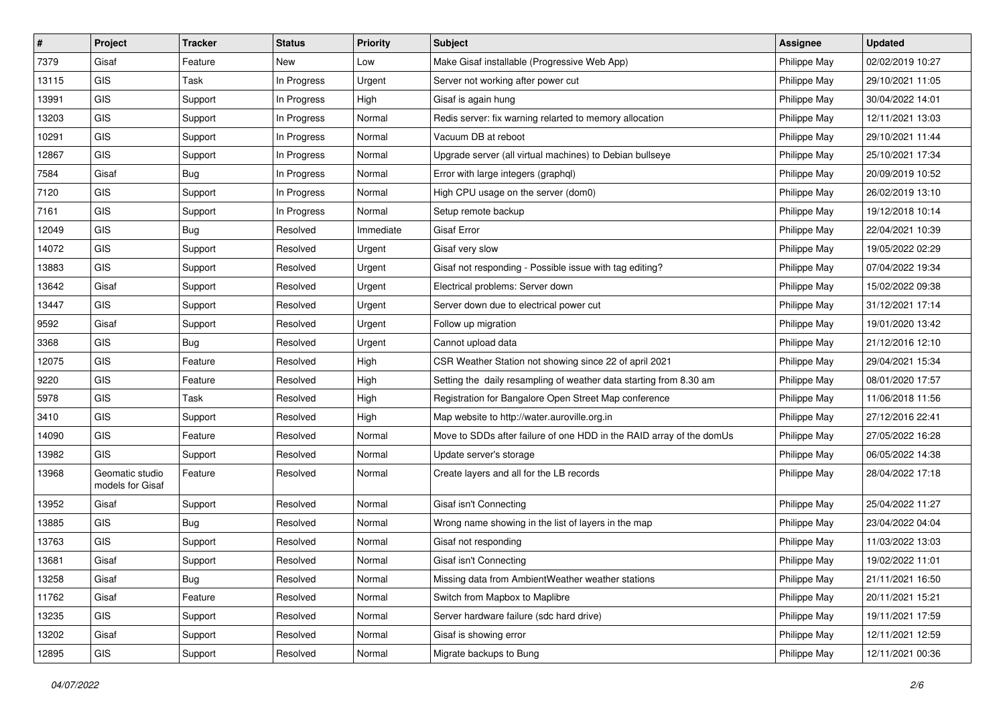| $\sharp$ | Project                             | <b>Tracker</b> | <b>Status</b> | <b>Priority</b> | <b>Subject</b>                                                       | <b>Assignee</b> | <b>Updated</b>   |
|----------|-------------------------------------|----------------|---------------|-----------------|----------------------------------------------------------------------|-----------------|------------------|
| 7379     | Gisaf                               | Feature        | New           | Low             | Make Gisaf installable (Progressive Web App)                         | Philippe May    | 02/02/2019 10:27 |
| 13115    | <b>GIS</b>                          | Task           | In Progress   | Urgent          | Server not working after power cut                                   | Philippe May    | 29/10/2021 11:05 |
| 13991    | GIS                                 | Support        | In Progress   | High            | Gisaf is again hung                                                  | Philippe May    | 30/04/2022 14:01 |
| 13203    | GIS                                 | Support        | In Progress   | Normal          | Redis server: fix warning relarted to memory allocation              | Philippe May    | 12/11/2021 13:03 |
| 10291    | GIS                                 | Support        | In Progress   | Normal          | Vacuum DB at reboot                                                  | Philippe May    | 29/10/2021 11:44 |
| 12867    | GIS                                 | Support        | In Progress   | Normal          | Upgrade server (all virtual machines) to Debian bullseye             | Philippe May    | 25/10/2021 17:34 |
| 7584     | Gisaf                               | <b>Bug</b>     | In Progress   | Normal          | Error with large integers (graphql)                                  | Philippe May    | 20/09/2019 10:52 |
| 7120     | GIS                                 | Support        | In Progress   | Normal          | High CPU usage on the server (dom0)                                  | Philippe May    | 26/02/2019 13:10 |
| 7161     | GIS                                 | Support        | In Progress   | Normal          | Setup remote backup                                                  | Philippe May    | 19/12/2018 10:14 |
| 12049    | <b>GIS</b>                          | Bug            | Resolved      | Immediate       | <b>Gisaf Error</b>                                                   | Philippe May    | 22/04/2021 10:39 |
| 14072    | GIS                                 | Support        | Resolved      | Urgent          | Gisaf very slow                                                      | Philippe May    | 19/05/2022 02:29 |
| 13883    | GIS                                 | Support        | Resolved      | Urgent          | Gisaf not responding - Possible issue with tag editing?              | Philippe May    | 07/04/2022 19:34 |
| 13642    | Gisaf                               | Support        | Resolved      | Urgent          | Electrical problems: Server down                                     | Philippe May    | 15/02/2022 09:38 |
| 13447    | GIS                                 | Support        | Resolved      | Urgent          | Server down due to electrical power cut                              | Philippe May    | 31/12/2021 17:14 |
| 9592     | Gisaf                               | Support        | Resolved      | Urgent          | Follow up migration                                                  | Philippe May    | 19/01/2020 13:42 |
| 3368     | GIS                                 | <b>Bug</b>     | Resolved      | Urgent          | Cannot upload data                                                   | Philippe May    | 21/12/2016 12:10 |
| 12075    | GIS                                 | Feature        | Resolved      | High            | CSR Weather Station not showing since 22 of april 2021               | Philippe May    | 29/04/2021 15:34 |
| 9220     | GIS                                 | Feature        | Resolved      | High            | Setting the daily resampling of weather data starting from 8.30 am   | Philippe May    | 08/01/2020 17:57 |
| 5978     | GIS                                 | Task           | Resolved      | High            | Registration for Bangalore Open Street Map conference                | Philippe May    | 11/06/2018 11:56 |
| 3410     | GIS                                 | Support        | Resolved      | High            | Map website to http://water.auroville.org.in                         | Philippe May    | 27/12/2016 22:41 |
| 14090    | GIS                                 | Feature        | Resolved      | Normal          | Move to SDDs after failure of one HDD in the RAID array of the domUs | Philippe May    | 27/05/2022 16:28 |
| 13982    | GIS                                 | Support        | Resolved      | Normal          | Update server's storage                                              | Philippe May    | 06/05/2022 14:38 |
| 13968    | Geomatic studio<br>models for Gisaf | Feature        | Resolved      | Normal          | Create layers and all for the LB records                             | Philippe May    | 28/04/2022 17:18 |
| 13952    | Gisaf                               | Support        | Resolved      | Normal          | Gisaf isn't Connecting                                               | Philippe May    | 25/04/2022 11:27 |
| 13885    | GIS                                 | Bug            | Resolved      | Normal          | Wrong name showing in the list of layers in the map                  | Philippe May    | 23/04/2022 04:04 |
| 13763    | GIS                                 | Support        | Resolved      | Normal          | Gisaf not responding                                                 | Philippe May    | 11/03/2022 13:03 |
| 13681    | Gisaf                               | Support        | Resolved      | Normal          | Gisaf isn't Connecting                                               | Philippe May    | 19/02/2022 11:01 |
| 13258    | Gisaf                               | Bug            | Resolved      | Normal          | Missing data from AmbientWeather weather stations                    | Philippe May    | 21/11/2021 16:50 |
| 11762    | Gisaf                               | Feature        | Resolved      | Normal          | Switch from Mapbox to Maplibre                                       | Philippe May    | 20/11/2021 15:21 |
| 13235    | GIS                                 | Support        | Resolved      | Normal          | Server hardware failure (sdc hard drive)                             | Philippe May    | 19/11/2021 17:59 |
| 13202    | Gisaf                               | Support        | Resolved      | Normal          | Gisaf is showing error                                               | Philippe May    | 12/11/2021 12:59 |
| 12895    | GIS                                 | Support        | Resolved      | Normal          | Migrate backups to Bung                                              | Philippe May    | 12/11/2021 00:36 |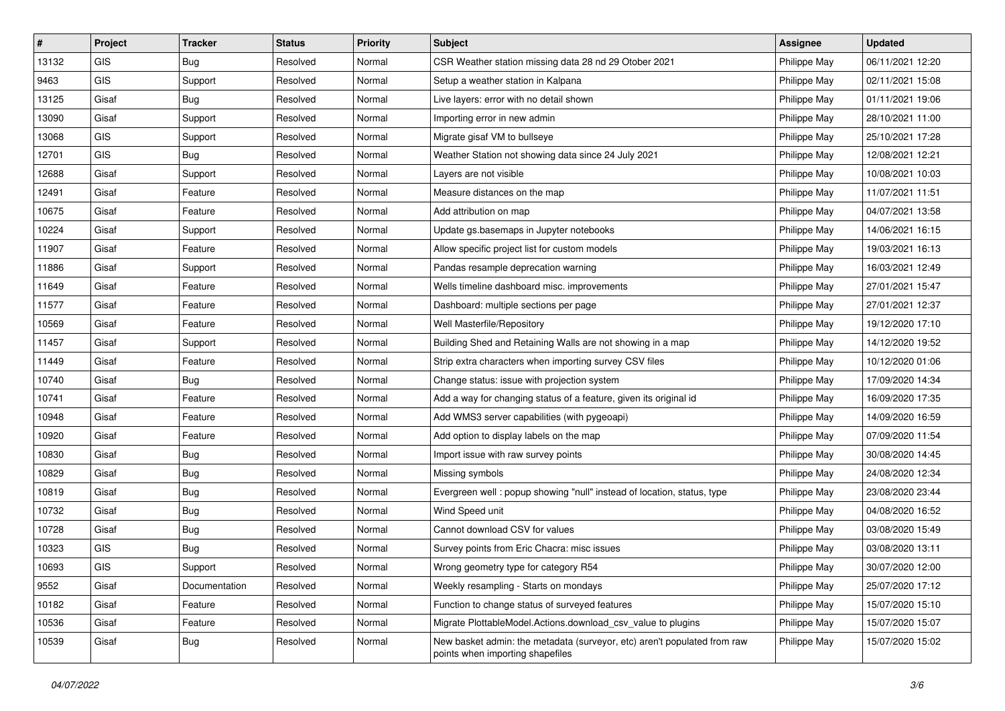| #     | Project    | <b>Tracker</b> | <b>Status</b> | Priority | <b>Subject</b>                                                                                               | <b>Assignee</b> | <b>Updated</b>   |
|-------|------------|----------------|---------------|----------|--------------------------------------------------------------------------------------------------------------|-----------------|------------------|
| 13132 | <b>GIS</b> | <b>Bug</b>     | Resolved      | Normal   | CSR Weather station missing data 28 nd 29 Otober 2021                                                        | Philippe May    | 06/11/2021 12:20 |
| 9463  | GIS        | Support        | Resolved      | Normal   | Setup a weather station in Kalpana                                                                           | Philippe May    | 02/11/2021 15:08 |
| 13125 | Gisaf      | Bug            | Resolved      | Normal   | Live layers: error with no detail shown                                                                      | Philippe May    | 01/11/2021 19:06 |
| 13090 | Gisaf      | Support        | Resolved      | Normal   | Importing error in new admin                                                                                 | Philippe May    | 28/10/2021 11:00 |
| 13068 | GIS        | Support        | Resolved      | Normal   | Migrate gisaf VM to bullseye                                                                                 | Philippe May    | 25/10/2021 17:28 |
| 12701 | <b>GIS</b> | <b>Bug</b>     | Resolved      | Normal   | Weather Station not showing data since 24 July 2021                                                          | Philippe May    | 12/08/2021 12:21 |
| 12688 | Gisaf      | Support        | Resolved      | Normal   | Layers are not visible                                                                                       | Philippe May    | 10/08/2021 10:03 |
| 12491 | Gisaf      | Feature        | Resolved      | Normal   | Measure distances on the map                                                                                 | Philippe May    | 11/07/2021 11:51 |
| 10675 | Gisaf      | Feature        | Resolved      | Normal   | Add attribution on map                                                                                       | Philippe May    | 04/07/2021 13:58 |
| 10224 | Gisaf      | Support        | Resolved      | Normal   | Update gs.basemaps in Jupyter notebooks                                                                      | Philippe May    | 14/06/2021 16:15 |
| 11907 | Gisaf      | Feature        | Resolved      | Normal   | Allow specific project list for custom models                                                                | Philippe May    | 19/03/2021 16:13 |
| 11886 | Gisaf      | Support        | Resolved      | Normal   | Pandas resample deprecation warning                                                                          | Philippe May    | 16/03/2021 12:49 |
| 11649 | Gisaf      | Feature        | Resolved      | Normal   | Wells timeline dashboard misc. improvements                                                                  | Philippe May    | 27/01/2021 15:47 |
| 11577 | Gisaf      | Feature        | Resolved      | Normal   | Dashboard: multiple sections per page                                                                        | Philippe May    | 27/01/2021 12:37 |
| 10569 | Gisaf      | Feature        | Resolved      | Normal   | Well Masterfile/Repository                                                                                   | Philippe May    | 19/12/2020 17:10 |
| 11457 | Gisaf      | Support        | Resolved      | Normal   | Building Shed and Retaining Walls are not showing in a map                                                   | Philippe May    | 14/12/2020 19:52 |
| 11449 | Gisaf      | Feature        | Resolved      | Normal   | Strip extra characters when importing survey CSV files                                                       | Philippe May    | 10/12/2020 01:06 |
| 10740 | Gisaf      | Bug            | Resolved      | Normal   | Change status: issue with projection system                                                                  | Philippe May    | 17/09/2020 14:34 |
| 10741 | Gisaf      | Feature        | Resolved      | Normal   | Add a way for changing status of a feature, given its original id                                            | Philippe May    | 16/09/2020 17:35 |
| 10948 | Gisaf      | Feature        | Resolved      | Normal   | Add WMS3 server capabilities (with pygeoapi)                                                                 | Philippe May    | 14/09/2020 16:59 |
| 10920 | Gisaf      | Feature        | Resolved      | Normal   | Add option to display labels on the map                                                                      | Philippe May    | 07/09/2020 11:54 |
| 10830 | Gisaf      | <b>Bug</b>     | Resolved      | Normal   | Import issue with raw survey points                                                                          | Philippe May    | 30/08/2020 14:45 |
| 10829 | Gisaf      | Bug            | Resolved      | Normal   | Missing symbols                                                                                              | Philippe May    | 24/08/2020 12:34 |
| 10819 | Gisaf      | <b>Bug</b>     | Resolved      | Normal   | Evergreen well: popup showing "null" instead of location, status, type                                       | Philippe May    | 23/08/2020 23:44 |
| 10732 | Gisaf      | <b>Bug</b>     | Resolved      | Normal   | Wind Speed unit                                                                                              | Philippe May    | 04/08/2020 16:52 |
| 10728 | Gisaf      | <b>Bug</b>     | Resolved      | Normal   | Cannot download CSV for values                                                                               | Philippe May    | 03/08/2020 15:49 |
| 10323 | GIS        | <b>Bug</b>     | Resolved      | Normal   | Survey points from Eric Chacra: misc issues                                                                  | Philippe May    | 03/08/2020 13:11 |
| 10693 | GIS        | Support        | Resolved      | Normal   | Wrong geometry type for category R54                                                                         | Philippe May    | 30/07/2020 12:00 |
| 9552  | Gisaf      | Documentation  | Resolved      | Normal   | Weekly resampling - Starts on mondays                                                                        | Philippe May    | 25/07/2020 17:12 |
| 10182 | Gisaf      | Feature        | Resolved      | Normal   | Function to change status of surveyed features                                                               | Philippe May    | 15/07/2020 15:10 |
| 10536 | Gisaf      | Feature        | Resolved      | Normal   | Migrate PlottableModel.Actions.download_csv_value to plugins                                                 | Philippe May    | 15/07/2020 15:07 |
| 10539 | Gisaf      | Bug            | Resolved      | Normal   | New basket admin: the metadata (surveyor, etc) aren't populated from raw<br>points when importing shapefiles | Philippe May    | 15/07/2020 15:02 |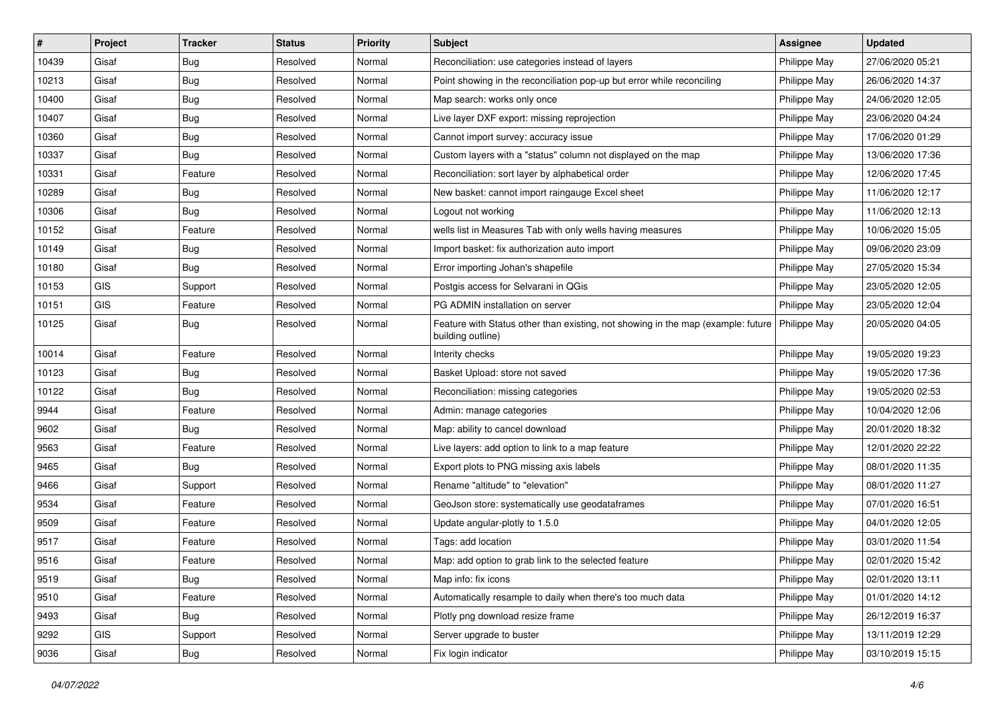| $\sharp$ | Project    | <b>Tracker</b> | <b>Status</b> | <b>Priority</b> | <b>Subject</b>                                                                                                       | Assignee     | <b>Updated</b>   |
|----------|------------|----------------|---------------|-----------------|----------------------------------------------------------------------------------------------------------------------|--------------|------------------|
| 10439    | Gisaf      | <b>Bug</b>     | Resolved      | Normal          | Reconciliation: use categories instead of layers                                                                     | Philippe May | 27/06/2020 05:21 |
| 10213    | Gisaf      | Bug            | Resolved      | Normal          | Point showing in the reconciliation pop-up but error while reconciling                                               | Philippe May | 26/06/2020 14:37 |
| 10400    | Gisaf      | Bug            | Resolved      | Normal          | Map search: works only once                                                                                          | Philippe May | 24/06/2020 12:05 |
| 10407    | Gisaf      | <b>Bug</b>     | Resolved      | Normal          | Live layer DXF export: missing reprojection                                                                          | Philippe May | 23/06/2020 04:24 |
| 10360    | Gisaf      | Bug            | Resolved      | Normal          | Cannot import survey: accuracy issue                                                                                 | Philippe May | 17/06/2020 01:29 |
| 10337    | Gisaf      | Bug            | Resolved      | Normal          | Custom layers with a "status" column not displayed on the map                                                        | Philippe May | 13/06/2020 17:36 |
| 10331    | Gisaf      | Feature        | Resolved      | Normal          | Reconciliation: sort layer by alphabetical order                                                                     | Philippe May | 12/06/2020 17:45 |
| 10289    | Gisaf      | <b>Bug</b>     | Resolved      | Normal          | New basket: cannot import raingauge Excel sheet                                                                      | Philippe May | 11/06/2020 12:17 |
| 10306    | Gisaf      | <b>Bug</b>     | Resolved      | Normal          | Logout not working                                                                                                   | Philippe May | 11/06/2020 12:13 |
| 10152    | Gisaf      | Feature        | Resolved      | Normal          | wells list in Measures Tab with only wells having measures                                                           | Philippe May | 10/06/2020 15:05 |
| 10149    | Gisaf      | <b>Bug</b>     | Resolved      | Normal          | Import basket: fix authorization auto import                                                                         | Philippe May | 09/06/2020 23:09 |
| 10180    | Gisaf      | <b>Bug</b>     | Resolved      | Normal          | Error importing Johan's shapefile                                                                                    | Philippe May | 27/05/2020 15:34 |
| 10153    | <b>GIS</b> | Support        | Resolved      | Normal          | Postgis access for Selvarani in QGis                                                                                 | Philippe May | 23/05/2020 12:05 |
| 10151    | GIS        | Feature        | Resolved      | Normal          | PG ADMIN installation on server                                                                                      | Philippe May | 23/05/2020 12:04 |
| 10125    | Gisaf      | Bug            | Resolved      | Normal          | Feature with Status other than existing, not showing in the map (example: future   Philippe May<br>building outline) |              | 20/05/2020 04:05 |
| 10014    | Gisaf      | Feature        | Resolved      | Normal          | Interity checks                                                                                                      | Philippe May | 19/05/2020 19:23 |
| 10123    | Gisaf      | Bug            | Resolved      | Normal          | Basket Upload: store not saved                                                                                       | Philippe May | 19/05/2020 17:36 |
| 10122    | Gisaf      | <b>Bug</b>     | Resolved      | Normal          | Reconciliation: missing categories                                                                                   | Philippe May | 19/05/2020 02:53 |
| 9944     | Gisaf      | Feature        | Resolved      | Normal          | Admin: manage categories                                                                                             | Philippe May | 10/04/2020 12:06 |
| 9602     | Gisaf      | <b>Bug</b>     | Resolved      | Normal          | Map: ability to cancel download                                                                                      | Philippe May | 20/01/2020 18:32 |
| 9563     | Gisaf      | Feature        | Resolved      | Normal          | Live layers: add option to link to a map feature                                                                     | Philippe May | 12/01/2020 22:22 |
| 9465     | Gisaf      | Bug            | Resolved      | Normal          | Export plots to PNG missing axis labels                                                                              | Philippe May | 08/01/2020 11:35 |
| 9466     | Gisaf      | Support        | Resolved      | Normal          | Rename "altitude" to "elevation"                                                                                     | Philippe May | 08/01/2020 11:27 |
| 9534     | Gisaf      | Feature        | Resolved      | Normal          | GeoJson store: systematically use geodataframes                                                                      | Philippe May | 07/01/2020 16:51 |
| 9509     | Gisaf      | Feature        | Resolved      | Normal          | Update angular-plotly to 1.5.0                                                                                       | Philippe May | 04/01/2020 12:05 |
| 9517     | Gisaf      | Feature        | Resolved      | Normal          | Tags: add location                                                                                                   | Philippe May | 03/01/2020 11:54 |
| 9516     | Gisaf      | Feature        | Resolved      | Normal          | Map: add option to grab link to the selected feature                                                                 | Philippe May | 02/01/2020 15:42 |
| 9519     | Gisaf      | Bug            | Resolved      | Normal          | Map info: fix icons                                                                                                  | Philippe May | 02/01/2020 13:11 |
| 9510     | Gisaf      | Feature        | Resolved      | Normal          | Automatically resample to daily when there's too much data                                                           | Philippe May | 01/01/2020 14:12 |
| 9493     | Gisaf      | Bug            | Resolved      | Normal          | Plotly png download resize frame                                                                                     | Philippe May | 26/12/2019 16:37 |
| 9292     | <b>GIS</b> | Support        | Resolved      | Normal          | Server upgrade to buster                                                                                             | Philippe May | 13/11/2019 12:29 |
| 9036     | Gisaf      | Bug            | Resolved      | Normal          | Fix login indicator                                                                                                  | Philippe May | 03/10/2019 15:15 |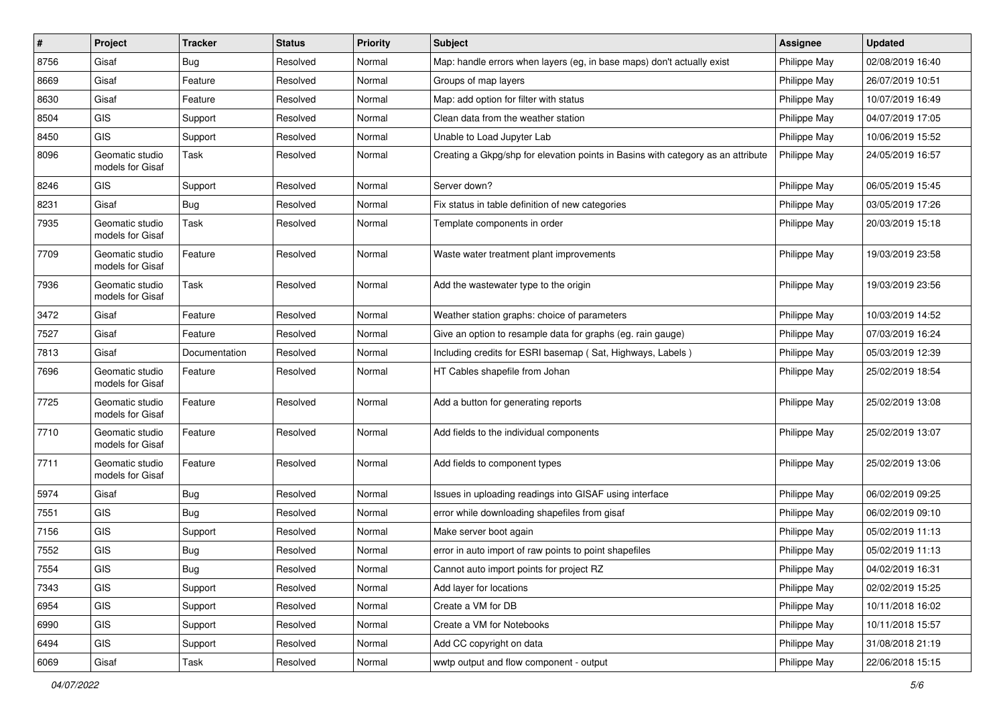| $\vert$ # | Project                             | <b>Tracker</b> | <b>Status</b> | Priority | <b>Subject</b>                                                                   | <b>Assignee</b> | <b>Updated</b>   |
|-----------|-------------------------------------|----------------|---------------|----------|----------------------------------------------------------------------------------|-----------------|------------------|
| 8756      | Gisaf                               | Bug            | Resolved      | Normal   | Map: handle errors when layers (eg, in base maps) don't actually exist           | Philippe May    | 02/08/2019 16:40 |
| 8669      | Gisaf                               | Feature        | Resolved      | Normal   | Groups of map layers                                                             | Philippe May    | 26/07/2019 10:51 |
| 8630      | Gisaf                               | Feature        | Resolved      | Normal   | Map: add option for filter with status                                           | Philippe May    | 10/07/2019 16:49 |
| 8504      | GIS                                 | Support        | Resolved      | Normal   | Clean data from the weather station                                              | Philippe May    | 04/07/2019 17:05 |
| 8450      | GIS                                 | Support        | Resolved      | Normal   | Unable to Load Jupyter Lab                                                       | Philippe May    | 10/06/2019 15:52 |
| 8096      | Geomatic studio<br>models for Gisaf | Task           | Resolved      | Normal   | Creating a Gkpg/shp for elevation points in Basins with category as an attribute | Philippe May    | 24/05/2019 16:57 |
| 8246      | <b>GIS</b>                          | Support        | Resolved      | Normal   | Server down?                                                                     | Philippe May    | 06/05/2019 15:45 |
| 8231      | Gisaf                               | <b>Bug</b>     | Resolved      | Normal   | Fix status in table definition of new categories                                 | Philippe May    | 03/05/2019 17:26 |
| 7935      | Geomatic studio<br>models for Gisaf | Task           | Resolved      | Normal   | Template components in order                                                     | Philippe May    | 20/03/2019 15:18 |
| 7709      | Geomatic studio<br>models for Gisaf | Feature        | Resolved      | Normal   | Waste water treatment plant improvements                                         | Philippe May    | 19/03/2019 23:58 |
| 7936      | Geomatic studio<br>models for Gisaf | Task           | Resolved      | Normal   | Add the wastewater type to the origin                                            | Philippe May    | 19/03/2019 23:56 |
| 3472      | Gisaf                               | Feature        | Resolved      | Normal   | Weather station graphs: choice of parameters                                     | Philippe May    | 10/03/2019 14:52 |
| 7527      | Gisaf                               | Feature        | Resolved      | Normal   | Give an option to resample data for graphs (eg. rain gauge)                      | Philippe May    | 07/03/2019 16:24 |
| 7813      | Gisaf                               | Documentation  | Resolved      | Normal   | Including credits for ESRI basemap (Sat, Highways, Labels)                       | Philippe May    | 05/03/2019 12:39 |
| 7696      | Geomatic studio<br>models for Gisaf | Feature        | Resolved      | Normal   | HT Cables shapefile from Johan                                                   | Philippe May    | 25/02/2019 18:54 |
| 7725      | Geomatic studio<br>models for Gisaf | Feature        | Resolved      | Normal   | Add a button for generating reports                                              | Philippe May    | 25/02/2019 13:08 |
| 7710      | Geomatic studio<br>models for Gisaf | Feature        | Resolved      | Normal   | Add fields to the individual components                                          | Philippe May    | 25/02/2019 13:07 |
| 7711      | Geomatic studio<br>models for Gisaf | Feature        | Resolved      | Normal   | Add fields to component types                                                    | Philippe May    | 25/02/2019 13:06 |
| 5974      | Gisaf                               | Bug            | Resolved      | Normal   | Issues in uploading readings into GISAF using interface                          | Philippe May    | 06/02/2019 09:25 |
| 7551      | <b>GIS</b>                          | Bug            | Resolved      | Normal   | error while downloading shapefiles from gisaf                                    | Philippe May    | 06/02/2019 09:10 |
| 7156      | GIS                                 | Support        | Resolved      | Normal   | Make server boot again                                                           | Philippe May    | 05/02/2019 11:13 |
| 7552      | GIS                                 | Bug            | Resolved      | Normal   | error in auto import of raw points to point shapefiles                           | Philippe May    | 05/02/2019 11:13 |
| 7554      | GIS                                 | <b>Bug</b>     | Resolved      | Normal   | Cannot auto import points for project RZ                                         | Philippe May    | 04/02/2019 16:31 |
| 7343      | GIS                                 | Support        | Resolved      | Normal   | Add layer for locations                                                          | Philippe May    | 02/02/2019 15:25 |
| 6954      | GIS                                 | Support        | Resolved      | Normal   | Create a VM for DB                                                               | Philippe May    | 10/11/2018 16:02 |
| 6990      | GIS                                 | Support        | Resolved      | Normal   | Create a VM for Notebooks                                                        | Philippe May    | 10/11/2018 15:57 |
| 6494      | GIS                                 | Support        | Resolved      | Normal   | Add CC copyright on data                                                         | Philippe May    | 31/08/2018 21:19 |
| 6069      | Gisaf                               | Task           | Resolved      | Normal   | wwtp output and flow component - output                                          | Philippe May    | 22/06/2018 15:15 |